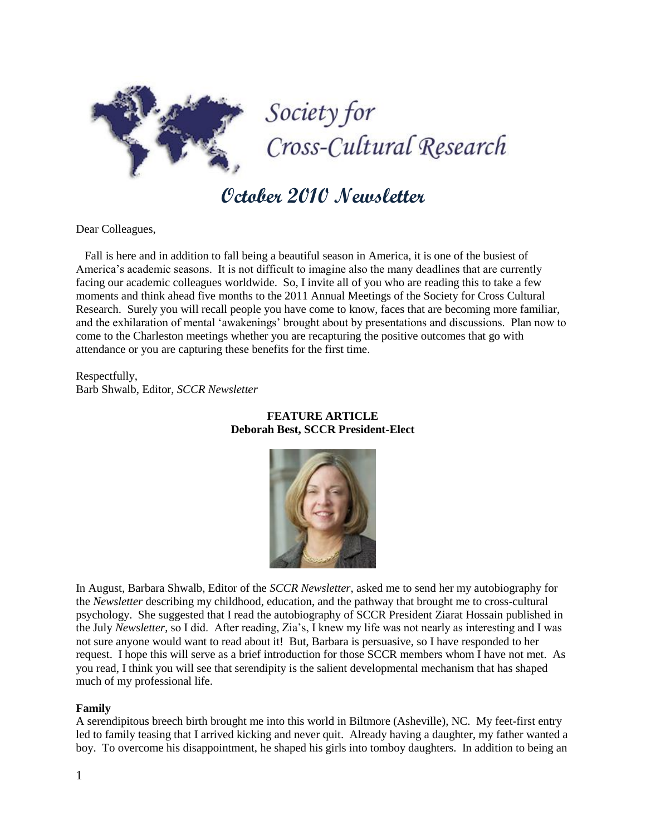

# **October 2010 Newsletter**

Dear Colleagues,

 Fall is here and in addition to fall being a beautiful season in America, it is one of the busiest of America's academic seasons. It is not difficult to imagine also the many deadlines that are currently facing our academic colleagues worldwide. So, I invite all of you who are reading this to take a few moments and think ahead five months to the 2011 Annual Meetings of the Society for Cross Cultural Research. Surely you will recall people you have come to know, faces that are becoming more familiar, and the exhilaration of mental 'awakenings' brought about by presentations and discussions. Plan now to come to the Charleston meetings whether you are recapturing the positive outcomes that go with attendance or you are capturing these benefits for the first time.

Respectfully, Barb Shwalb, Editor, *SCCR Newsletter*



## **FEATURE ARTICLE Deborah Best, SCCR President-Elect**

In August, Barbara Shwalb, Editor of the *SCCR Newsletter*, asked me to send her my autobiography for the *Newsletter* describing my childhood, education, and the pathway that brought me to cross-cultural psychology. She suggested that I read the autobiography of SCCR President Ziarat Hossain published in the July *Newsletter*, so I did. After reading, Zia's, I knew my life was not nearly as interesting and I was not sure anyone would want to read about it! But, Barbara is persuasive, so I have responded to her request. I hope this will serve as a brief introduction for those SCCR members whom I have not met. As you read, I think you will see that serendipity is the salient developmental mechanism that has shaped much of my professional life.

#### **Family**

A serendipitous breech birth brought me into this world in Biltmore (Asheville), NC. My feet-first entry led to family teasing that I arrived kicking and never quit. Already having a daughter, my father wanted a boy. To overcome his disappointment, he shaped his girls into tomboy daughters. In addition to being an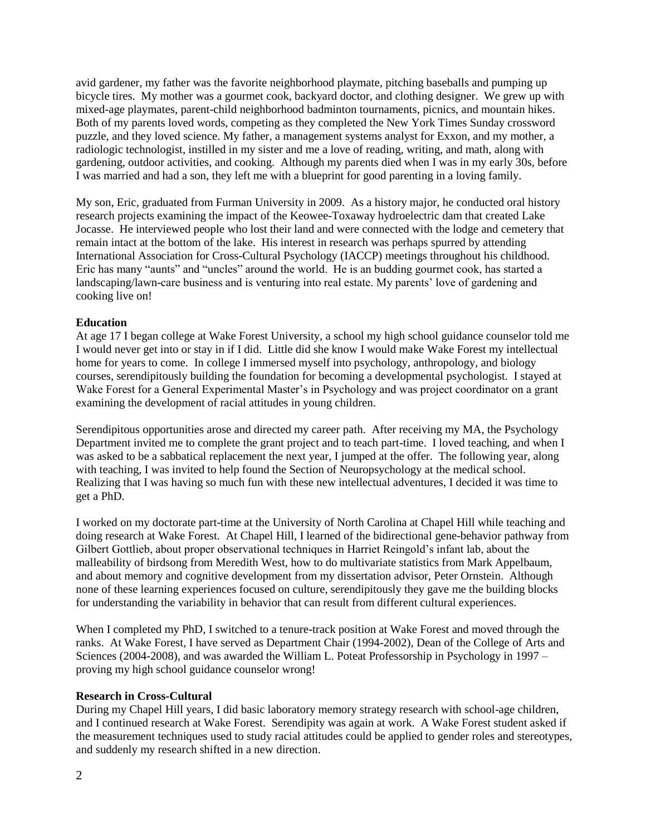avid gardener, my father was the favorite neighborhood playmate, pitching baseballs and pumping up bicycle tires. My mother was a gourmet cook, backyard doctor, and clothing designer. We grew up with mixed-age playmates, parent-child neighborhood badminton tournaments, picnics, and mountain hikes. Both of my parents loved words, competing as they completed the New York Times Sunday crossword puzzle, and they loved science. My father, a management systems analyst for Exxon, and my mother, a radiologic technologist, instilled in my sister and me a love of reading, writing, and math, along with gardening, outdoor activities, and cooking. Although my parents died when I was in my early 30s, before I was married and had a son, they left me with a blueprint for good parenting in a loving family.

My son, Eric, graduated from Furman University in 2009. As a history major, he conducted oral history research projects examining the impact of the Keowee-Toxaway hydroelectric dam that created Lake Jocasse. He interviewed people who lost their land and were connected with the lodge and cemetery that remain intact at the bottom of the lake. His interest in research was perhaps spurred by attending International Association for Cross-Cultural Psychology (IACCP) meetings throughout his childhood. Eric has many "aunts" and "uncles" around the world. He is an budding gourmet cook, has started a landscaping/lawn-care business and is venturing into real estate. My parents' love of gardening and cooking live on!

## **Education**

At age 17 I began college at Wake Forest University, a school my high school guidance counselor told me I would never get into or stay in if I did. Little did she know I would make Wake Forest my intellectual home for years to come. In college I immersed myself into psychology, anthropology, and biology courses, serendipitously building the foundation for becoming a developmental psychologist. I stayed at Wake Forest for a General Experimental Master's in Psychology and was project coordinator on a grant examining the development of racial attitudes in young children.

Serendipitous opportunities arose and directed my career path. After receiving my MA, the Psychology Department invited me to complete the grant project and to teach part-time. I loved teaching, and when I was asked to be a sabbatical replacement the next year, I jumped at the offer. The following year, along with teaching, I was invited to help found the Section of Neuropsychology at the medical school. Realizing that I was having so much fun with these new intellectual adventures, I decided it was time to get a PhD.

I worked on my doctorate part-time at the University of North Carolina at Chapel Hill while teaching and doing research at Wake Forest. At Chapel Hill, I learned of the bidirectional gene-behavior pathway from Gilbert Gottlieb, about proper observational techniques in Harriet Reingold's infant lab, about the malleability of birdsong from Meredith West, how to do multivariate statistics from Mark Appelbaum, and about memory and cognitive development from my dissertation advisor, Peter Ornstein. Although none of these learning experiences focused on culture, serendipitously they gave me the building blocks for understanding the variability in behavior that can result from different cultural experiences.

When I completed my PhD, I switched to a tenure-track position at Wake Forest and moved through the ranks. At Wake Forest, I have served as Department Chair (1994-2002), Dean of the College of Arts and Sciences (2004-2008), and was awarded the William L. Poteat Professorship in Psychology in 1997 – proving my high school guidance counselor wrong!

## **Research in Cross-Cultural**

During my Chapel Hill years, I did basic laboratory memory strategy research with school-age children, and I continued research at Wake Forest. Serendipity was again at work. A Wake Forest student asked if the measurement techniques used to study racial attitudes could be applied to gender roles and stereotypes, and suddenly my research shifted in a new direction.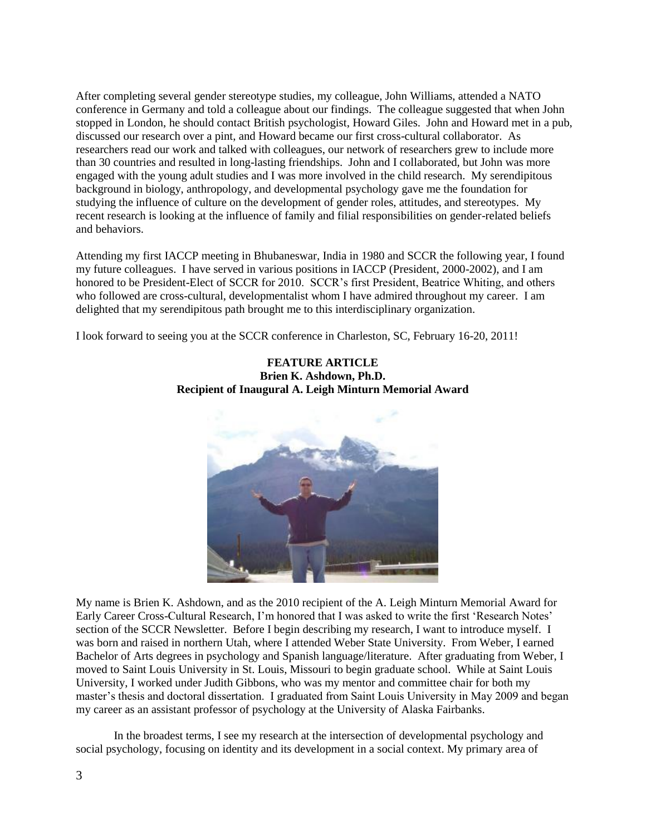After completing several gender stereotype studies, my colleague, John Williams, attended a NATO conference in Germany and told a colleague about our findings. The colleague suggested that when John stopped in London, he should contact British psychologist, Howard Giles. John and Howard met in a pub, discussed our research over a pint, and Howard became our first cross-cultural collaborator. As researchers read our work and talked with colleagues, our network of researchers grew to include more than 30 countries and resulted in long-lasting friendships. John and I collaborated, but John was more engaged with the young adult studies and I was more involved in the child research. My serendipitous background in biology, anthropology, and developmental psychology gave me the foundation for studying the influence of culture on the development of gender roles, attitudes, and stereotypes. My recent research is looking at the influence of family and filial responsibilities on gender-related beliefs and behaviors.

Attending my first IACCP meeting in Bhubaneswar, India in 1980 and SCCR the following year, I found my future colleagues. I have served in various positions in IACCP (President, 2000-2002), and I am honored to be President-Elect of SCCR for 2010. SCCR's first President, Beatrice Whiting, and others who followed are cross-cultural, developmentalist whom I have admired throughout my career. I am delighted that my serendipitous path brought me to this interdisciplinary organization.

I look forward to seeing you at the SCCR conference in Charleston, SC, February 16-20, 2011!



## **FEATURE ARTICLE Brien K. Ashdown, Ph.D. Recipient of Inaugural A. Leigh Minturn Memorial Award**

My name is Brien K. Ashdown, and as the 2010 recipient of the A. Leigh Minturn Memorial Award for Early Career Cross-Cultural Research, I'm honored that I was asked to write the first 'Research Notes' section of the SCCR Newsletter. Before I begin describing my research, I want to introduce myself. I was born and raised in northern Utah, where I attended Weber State University. From Weber, I earned Bachelor of Arts degrees in psychology and Spanish language/literature. After graduating from Weber, I moved to Saint Louis University in St. Louis, Missouri to begin graduate school. While at Saint Louis University, I worked under Judith Gibbons, who was my mentor and committee chair for both my master's thesis and doctoral dissertation. I graduated from Saint Louis University in May 2009 and began my career as an assistant professor of psychology at the University of Alaska Fairbanks.

In the broadest terms, I see my research at the intersection of developmental psychology and social psychology, focusing on identity and its development in a social context. My primary area of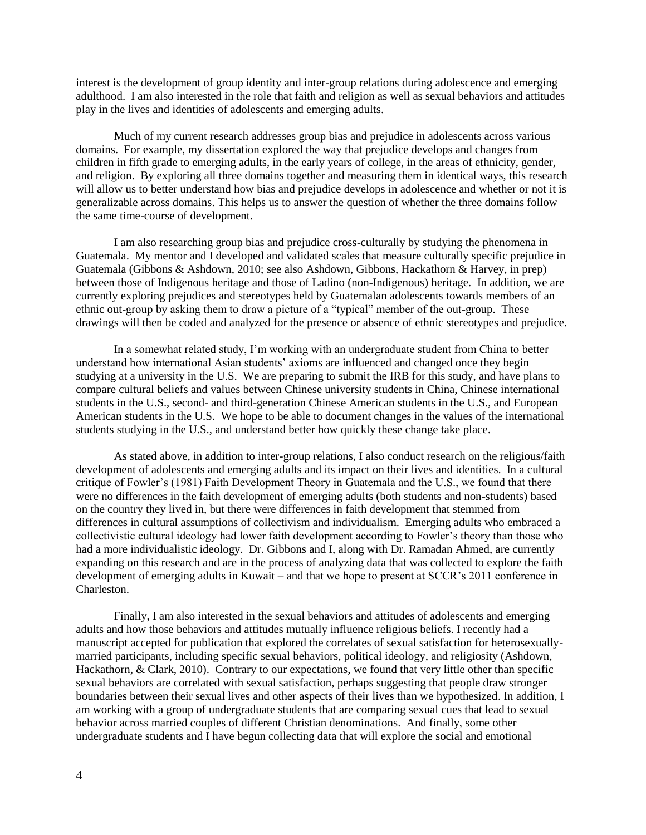interest is the development of group identity and inter-group relations during adolescence and emerging adulthood. I am also interested in the role that faith and religion as well as sexual behaviors and attitudes play in the lives and identities of adolescents and emerging adults.

Much of my current research addresses group bias and prejudice in adolescents across various domains. For example, my dissertation explored the way that prejudice develops and changes from children in fifth grade to emerging adults, in the early years of college, in the areas of ethnicity, gender, and religion. By exploring all three domains together and measuring them in identical ways, this research will allow us to better understand how bias and prejudice develops in adolescence and whether or not it is generalizable across domains. This helps us to answer the question of whether the three domains follow the same time-course of development.

I am also researching group bias and prejudice cross-culturally by studying the phenomena in Guatemala. My mentor and I developed and validated scales that measure culturally specific prejudice in Guatemala (Gibbons & Ashdown, 2010; see also Ashdown, Gibbons, Hackathorn & Harvey, in prep) between those of Indigenous heritage and those of Ladino (non-Indigenous) heritage. In addition, we are currently exploring prejudices and stereotypes held by Guatemalan adolescents towards members of an ethnic out-group by asking them to draw a picture of a "typical" member of the out-group. These drawings will then be coded and analyzed for the presence or absence of ethnic stereotypes and prejudice.

In a somewhat related study, I'm working with an undergraduate student from China to better understand how international Asian students' axioms are influenced and changed once they begin studying at a university in the U.S. We are preparing to submit the IRB for this study, and have plans to compare cultural beliefs and values between Chinese university students in China, Chinese international students in the U.S., second- and third-generation Chinese American students in the U.S., and European American students in the U.S. We hope to be able to document changes in the values of the international students studying in the U.S., and understand better how quickly these change take place.

As stated above, in addition to inter-group relations, I also conduct research on the religious/faith development of adolescents and emerging adults and its impact on their lives and identities. In a cultural critique of Fowler's (1981) Faith Development Theory in Guatemala and the U.S., we found that there were no differences in the faith development of emerging adults (both students and non-students) based on the country they lived in, but there were differences in faith development that stemmed from differences in cultural assumptions of collectivism and individualism. Emerging adults who embraced a collectivistic cultural ideology had lower faith development according to Fowler's theory than those who had a more individualistic ideology. Dr. Gibbons and I, along with Dr. Ramadan Ahmed, are currently expanding on this research and are in the process of analyzing data that was collected to explore the faith development of emerging adults in Kuwait – and that we hope to present at SCCR's 2011 conference in Charleston.

Finally, I am also interested in the sexual behaviors and attitudes of adolescents and emerging adults and how those behaviors and attitudes mutually influence religious beliefs. I recently had a manuscript accepted for publication that explored the correlates of sexual satisfaction for heterosexuallymarried participants, including specific sexual behaviors, political ideology, and religiosity (Ashdown, Hackathorn, & Clark, 2010). Contrary to our expectations, we found that very little other than specific sexual behaviors are correlated with sexual satisfaction, perhaps suggesting that people draw stronger boundaries between their sexual lives and other aspects of their lives than we hypothesized. In addition, I am working with a group of undergraduate students that are comparing sexual cues that lead to sexual behavior across married couples of different Christian denominations. And finally, some other undergraduate students and I have begun collecting data that will explore the social and emotional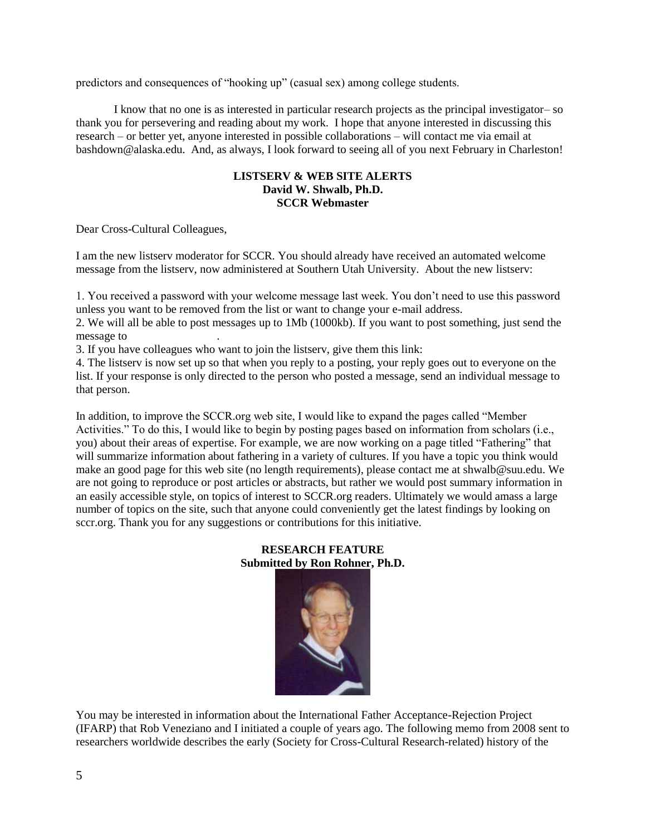predictors and consequences of "hooking up" (casual sex) among college students.

I know that no one is as interested in particular research projects as the principal investigator– so thank you for persevering and reading about my work. I hope that anyone interested in discussing this research – or better yet, anyone interested in possible collaborations – will contact me via email at bashdown@alaska.edu. And, as always, I look forward to seeing all of you next February in Charleston!

## **LISTSERV & WEB SITE ALERTS David W. Shwalb, Ph.D. SCCR Webmaster**

Dear Cross-Cultural Colleagues,

I am the new listserv moderator for SCCR. You should already have received an automated welcome message from the listserv, now administered at Southern Utah University. About the new listserv:

1. You received a password with your welcome message last week. You don't need to use this password unless you want to be removed from the list or want to change your e-mail address.

2. We will all be able to post messages up to 1Mb (1000kb). If you want to post something, just send the message to

3. If you have colleagues who want to join the listserv, give them this link:

4. The listserv is now set up so that when you reply to a posting, your reply goes out to everyone on the list. If your response is only directed to the person who posted a message, send an individual message to that person.

In addition, to improve the SCCR.org web site, I would like to expand the pages called "Member" Activities." To do this, I would like to begin by posting pages based on information from scholars (i.e., you) about their areas of expertise. For example, we are now working on a page titled "Fathering" that will summarize information about fathering in a variety of cultures. If you have a topic you think would make an good page for this web site (no length requirements), please contact me at shwalb@suu.edu. We are not going to reproduce or post articles or abstracts, but rather we would post summary information in an easily accessible style, on topics of interest to SCCR.org readers. Ultimately we would amass a large number of topics on the site, such that anyone could conveniently get the latest findings by looking on sccr.org. Thank you for any suggestions or contributions for this initiative.

## **RESEARCH FEATURE Submitted by Ron Rohner, Ph.D.**



You may be interested in information about the International Father Acceptance-Rejection Project (IFARP) that Rob Veneziano and I initiated a couple of years ago. The following memo from 2008 sent to researchers worldwide describes the early (Society for Cross-Cultural Research-related) history of the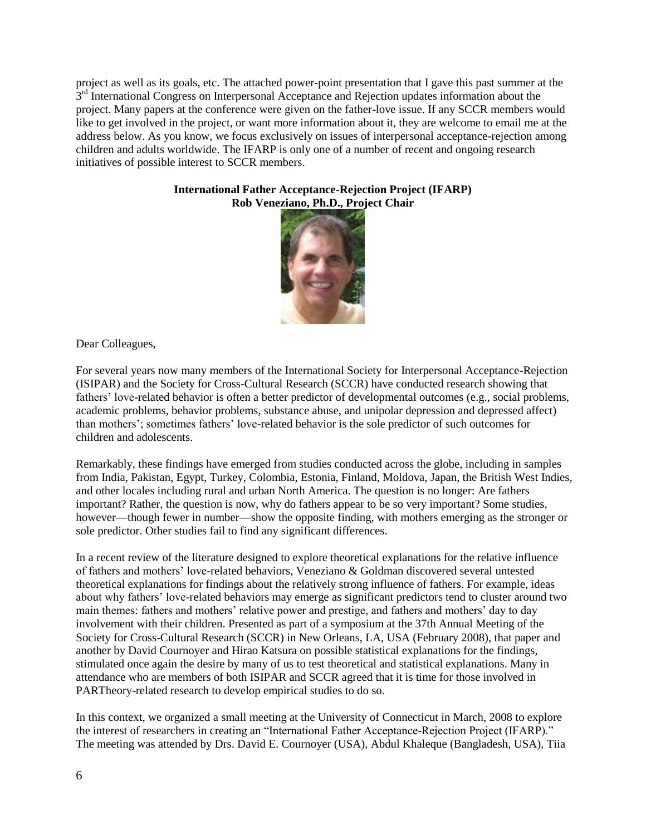project as well as its goals, etc. The attached power-point presentation that I gave this past summer at the 3<sup>rd</sup> International Congress on Interpersonal Acceptance and Rejection updates information about the project. Many papers at the conference were given on the father-love issue. If any SCCR members would like to get involved in the project, or want more information about it, they are welcome to email me at the address below. As you know, we focus exclusively on issues of interpersonal acceptance-rejection among children and adults worldwide. The IFARP is only one of a number of recent and ongoing research initiatives of possible interest to SCCR members.

#### **International Father Acceptance-Rejection Project (IFARP) Rob Veneziano, Ph.D., Project Chair**



Dear Colleagues,

For several years now many members of the International Society for Interpersonal Acceptance-Rejection (ISIPAR) and the Society for Cross-Cultural Research (SCCR) have conducted research showing that fathers' love-related behavior is often a better predictor of developmental outcomes (e.g., social problems, academic problems, behavior problems, substance abuse, and unipolar depression and depressed affect) than mothers'; sometimes fathers' love-related behavior is the sole predictor of such outcomes for children and adolescents.

Remarkably, these findings have emerged from studies conducted across the globe, including in samples from India, Pakistan, Egypt, Turkey, Colombia, Estonia, Finland, Moldova, Japan, the British West Indies, and other locales including rural and urban North America. The question is no longer: Are fathers important? Rather, the question is now, why do fathers appear to be so very important? Some studies, however—though fewer in number—show the opposite finding, with mothers emerging as the stronger or sole predictor. Other studies fail to find any significant differences.

In a recent review of the literature designed to explore theoretical explanations for the relative influence of fathers and mothers' love-related behaviors, Veneziano & Goldman discovered several untested theoretical explanations for findings about the relatively strong influence of fathers. For example, ideas about why fathers' love-related behaviors may emerge as significant predictors tend to cluster around two main themes: fathers and mothers' relative power and prestige, and fathers and mothers' day to day involvement with their children. Presented as part of a symposium at the 37th Annual Meeting of the Society for Cross-Cultural Research (SCCR) in New Orleans, LA, USA (February 2008), that paper and another by David Cournoyer and Hirao Katsura on possible statistical explanations for the findings, stimulated once again the desire by many of us to test theoretical and statistical explanations. Many in attendance who are members of both ISIPAR and SCCR agreed that it is time for those involved in PARTheory-related research to develop empirical studies to do so.

In this context, we organized a small meeting at the University of Connecticut in March, 2008 to explore the interest of researchers in creating an "International Father Acceptance-Rejection Project (IFARP)." The meeting was attended by Drs. David E. Cournoyer (USA), Abdul Khaleque (Bangladesh, USA), Tiia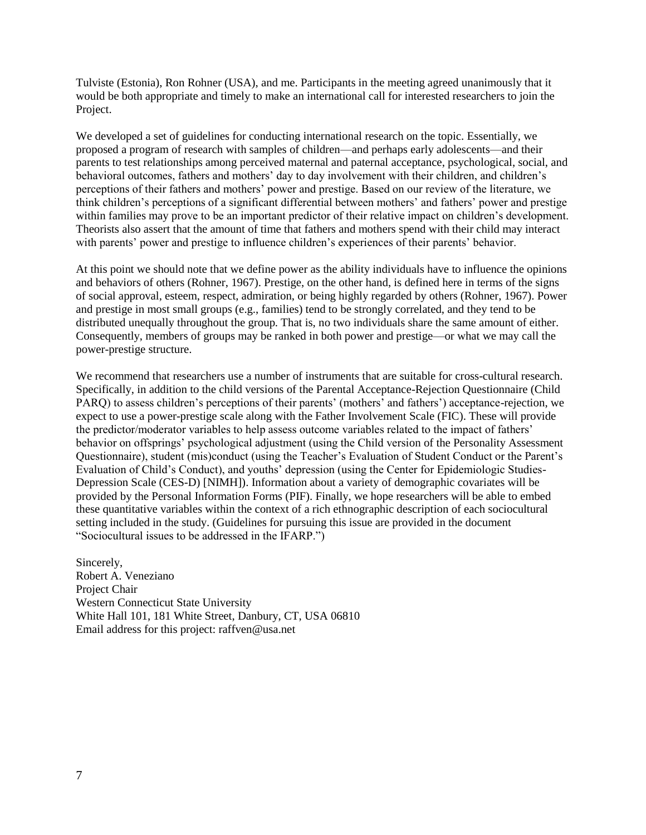Tulviste (Estonia), Ron Rohner (USA), and me. Participants in the meeting agreed unanimously that it would be both appropriate and timely to make an international call for interested researchers to join the Project.

We developed a set of guidelines for conducting international research on the topic. Essentially, we proposed a program of research with samples of children—and perhaps early adolescents—and their parents to test relationships among perceived maternal and paternal acceptance, psychological, social, and behavioral outcomes, fathers and mothers' day to day involvement with their children, and children's perceptions of their fathers and mothers' power and prestige. Based on our review of the literature, we think children's perceptions of a significant differential between mothers' and fathers' power and prestige within families may prove to be an important predictor of their relative impact on children's development. Theorists also assert that the amount of time that fathers and mothers spend with their child may interact with parents' power and prestige to influence children's experiences of their parents' behavior.

At this point we should note that we define power as the ability individuals have to influence the opinions and behaviors of others (Rohner, 1967). Prestige, on the other hand, is defined here in terms of the signs of social approval, esteem, respect, admiration, or being highly regarded by others (Rohner, 1967). Power and prestige in most small groups (e.g., families) tend to be strongly correlated, and they tend to be distributed unequally throughout the group. That is, no two individuals share the same amount of either. Consequently, members of groups may be ranked in both power and prestige—or what we may call the power-prestige structure.

We recommend that researchers use a number of instruments that are suitable for cross-cultural research. Specifically, in addition to the child versions of the Parental Acceptance-Rejection Questionnaire (Child PARQ) to assess children's perceptions of their parents' (mothers' and fathers') acceptance-rejection, we expect to use a power-prestige scale along with the Father Involvement Scale (FIC). These will provide the predictor/moderator variables to help assess outcome variables related to the impact of fathers' behavior on offsprings' psychological adjustment (using the Child version of the Personality Assessment Questionnaire), student (mis)conduct (using the Teacher's Evaluation of Student Conduct or the Parent's Evaluation of Child's Conduct), and youths' depression (using the Center for Epidemiologic Studies-Depression Scale (CES-D) [NIMH]). Information about a variety of demographic covariates will be provided by the Personal Information Forms (PIF). Finally, we hope researchers will be able to embed these quantitative variables within the context of a rich ethnographic description of each sociocultural setting included in the study. (Guidelines for pursuing this issue are provided in the document ―Sociocultural issues to be addressed in the IFARP.‖)

Sincerely, Robert A. Veneziano Project Chair Western Connecticut State University White Hall 101, 181 White Street, Danbury, CT, USA 06810 Email address for this project: raffven@usa.net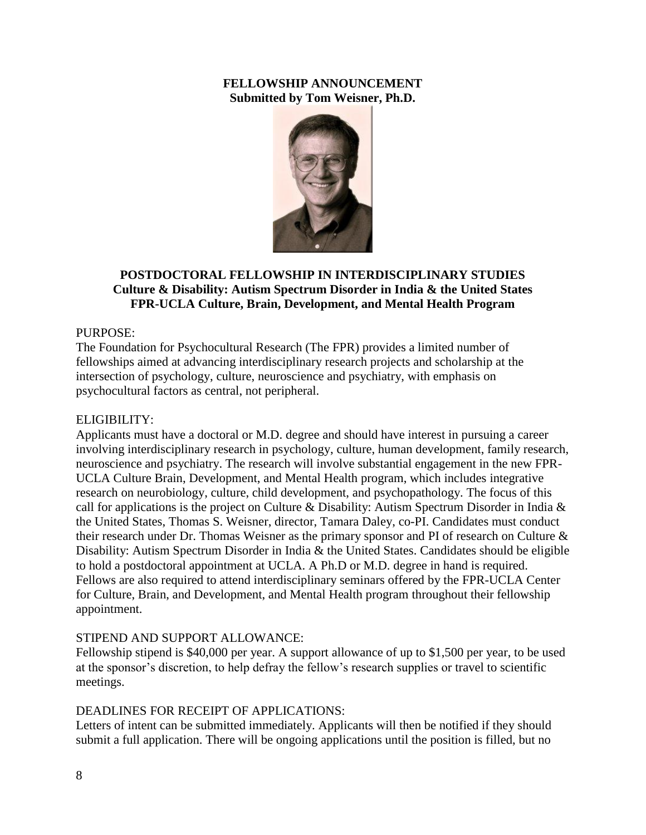# **FELLOWSHIP ANNOUNCEMENT Submitted by Tom Weisner, Ph.D.**



# **POSTDOCTORAL FELLOWSHIP IN INTERDISCIPLINARY STUDIES Culture & Disability: Autism Spectrum Disorder in India & the United States FPR-UCLA Culture, Brain, Development, and Mental Health Program**

# PURPOSE:

The Foundation for Psychocultural Research (The FPR) provides a limited number of fellowships aimed at advancing interdisciplinary research projects and scholarship at the intersection of psychology, culture, neuroscience and psychiatry, with emphasis on psychocultural factors as central, not peripheral.

## ELIGIBILITY:

Applicants must have a doctoral or M.D. degree and should have interest in pursuing a career involving interdisciplinary research in psychology, culture, human development, family research, neuroscience and psychiatry. The research will involve substantial engagement in the new FPR-UCLA Culture Brain, Development, and Mental Health program, which includes integrative research on neurobiology, culture, child development, and psychopathology. The focus of this call for applications is the project on Culture & Disability: Autism Spectrum Disorder in India & the United States, Thomas S. Weisner, director, Tamara Daley, co-PI. Candidates must conduct their research under Dr. Thomas Weisner as the primary sponsor and PI of research on Culture & Disability: Autism Spectrum Disorder in India & the United States. Candidates should be eligible to hold a postdoctoral appointment at UCLA. A Ph.D or M.D. degree in hand is required. Fellows are also required to attend interdisciplinary seminars offered by the FPR-UCLA Center for Culture, Brain, and Development, and Mental Health program throughout their fellowship appointment.

# STIPEND AND SUPPORT ALLOWANCE:

Fellowship stipend is \$40,000 per year. A support allowance of up to \$1,500 per year, to be used at the sponsor's discretion, to help defray the fellow's research supplies or travel to scientific meetings.

# DEADLINES FOR RECEIPT OF APPLICATIONS:

Letters of intent can be submitted immediately. Applicants will then be notified if they should submit a full application. There will be ongoing applications until the position is filled, but no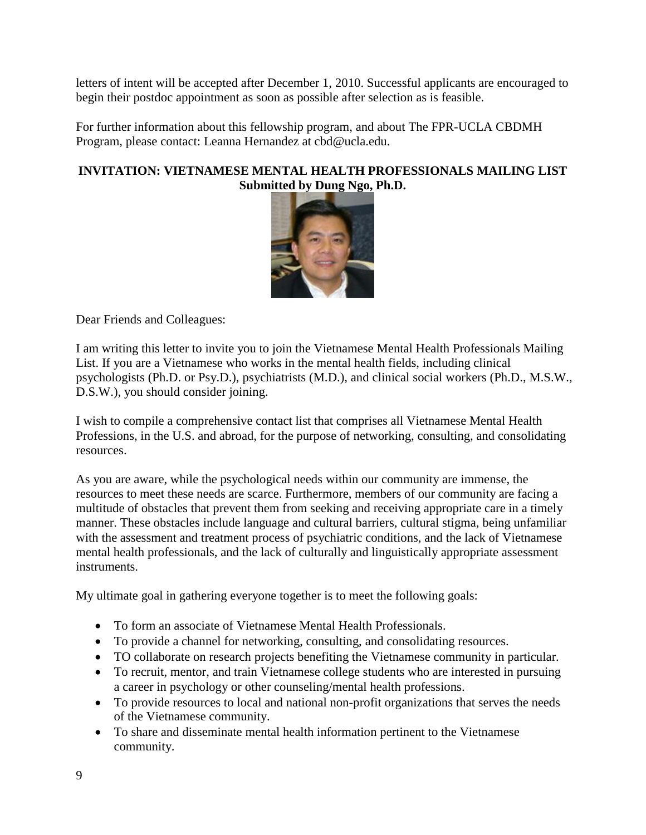letters of intent will be accepted after December 1, 2010. Successful applicants are encouraged to begin their postdoc appointment as soon as possible after selection as is feasible.

For further information about this fellowship program, and about The FPR-UCLA CBDMH Program, please contact: Leanna Hernandez at cbd@ucla.edu.

# **INVITATION: VIETNAMESE MENTAL HEALTH PROFESSIONALS MAILING LIST Submitted by Dung Ngo, Ph.D.**



Dear Friends and Colleagues:

I am writing this letter to invite you to join the Vietnamese Mental Health Professionals Mailing List. If you are a Vietnamese who works in the mental health fields, including clinical psychologists (Ph.D. or Psy.D.), psychiatrists (M.D.), and clinical social workers (Ph.D., M.S.W., D.S.W.), you should consider joining.

I wish to compile a comprehensive contact list that comprises all Vietnamese Mental Health Professions, in the U.S. and abroad, for the purpose of networking, consulting, and consolidating resources.

As you are aware, while the psychological needs within our community are immense, the resources to meet these needs are scarce. Furthermore, members of our community are facing a multitude of obstacles that prevent them from seeking and receiving appropriate care in a timely manner. These obstacles include language and cultural barriers, cultural stigma, being unfamiliar with the assessment and treatment process of psychiatric conditions, and the lack of Vietnamese mental health professionals, and the lack of culturally and linguistically appropriate assessment instruments.

My ultimate goal in gathering everyone together is to meet the following goals:

- To form an associate of Vietnamese Mental Health Professionals.
- To provide a channel for networking, consulting, and consolidating resources.
- TO collaborate on research projects benefiting the Vietnamese community in particular.
- To recruit, mentor, and train Vietnamese college students who are interested in pursuing a career in psychology or other counseling/mental health professions.
- To provide resources to local and national non-profit organizations that serves the needs of the Vietnamese community.
- To share and disseminate mental health information pertinent to the Vietnamese community.